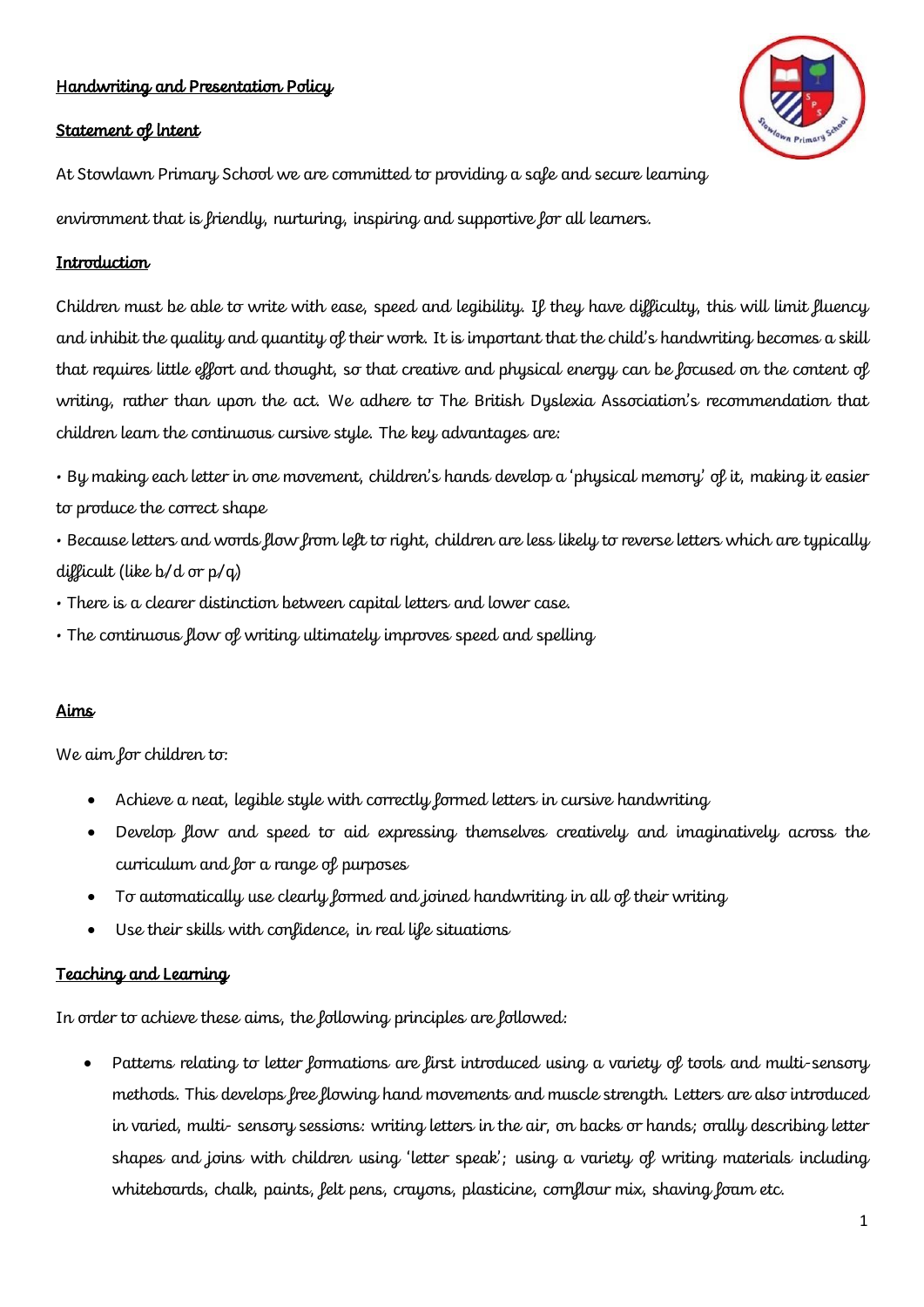## Handwriting and Presentation Policy

#### Statement of lntent



At Stowlawn Primary School we are committed to providing a safe and secure learning environment that is friendly, nurturing, inspiring and supportive for all learners.

#### Introduction

Children must be able to write with ease, speed and legibility. If they have difficulty, this will limit fluency and inhibit the quality and quantity of their work. It is important that the child's handwriting becomes a skill that requires little effort and thought, so that creative and physical energy can be focused on the content of writing, rather than upon the act. We adhere to The British Dyslexia Association's recommendation that children learn the continuous cursive style. The key advantages are:

• By making each letter in one movement, children's hands develop a 'physical memory' of it, making it easier to produce the correct shape

• Because letters and words flow from left to right, children are less likely to reverse letters which are typically difficult (like b/d or p/q)

- There is a clearer distinction between capital letters and lower case.
- The continuous flow of writing ultimately improves speed and spelling

#### Aims

We aim for children to:

- Achieve a neat, legible style with correctly formed letters in cursive handwriting
- Develop flow and speed to aid expressing themselves creatively and imaginatively across the curriculum and for a range of purposes
- To automatically use clearly formed and joined handwriting in all of their writing
- Use their skills with confidence, in real life situations

#### Teaching and Learning

In order to achieve these aims, the following principles are followed:

• Patterns relating to letter formations are first introduced using a variety of tools and multi-sensory methods. This develops free flowing hand movements and muscle strength. Letters are also introduced in varied, multi- sensory sessions: writing letters in the air, on backs or hands; orally describing letter shapes and joins with children using 'letter speak'; using a variety of writing materials including whiteboards, chalk, paints, felt pens, crayons, plasticine, cornflour mix, shaving foam etc.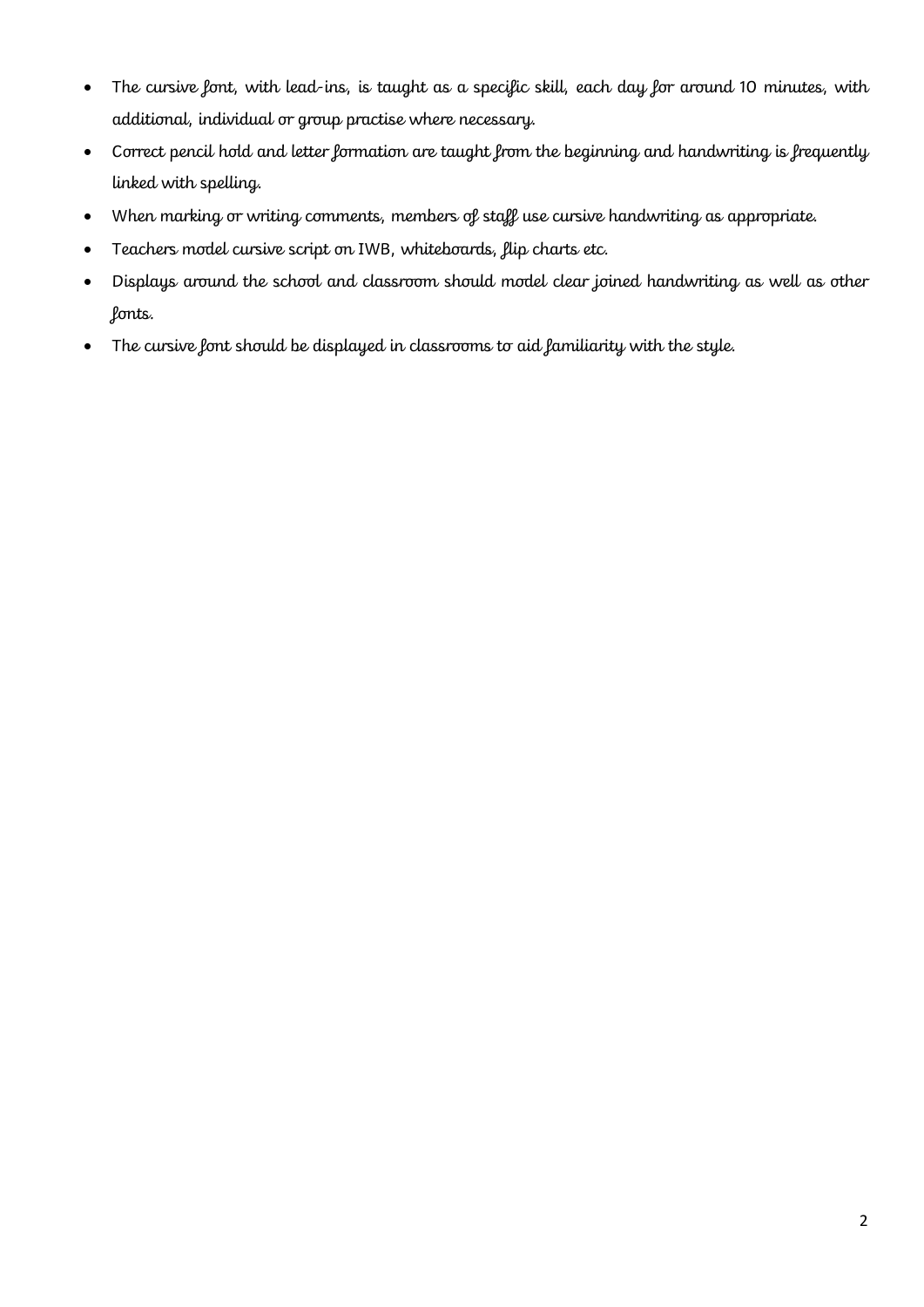- The cursive font, with lead-ins, is taught as a specific skill, each day for around 10 minutes, with additional, individual or group practise where necessary.
- Correct pencil hold and letter formation are taught from the beginning and handwriting is frequently linked with spelling.
- When marking or writing comments, members of staff use cursive handwriting as appropriate.
- Teachers model cursive script on IWB, whiteboards, flip charts etc.
- Displays around the school and classroom should model clear joined handwriting as well as other fonts.
- The cursive font should be displayed in classrooms to aid familiarity with the style.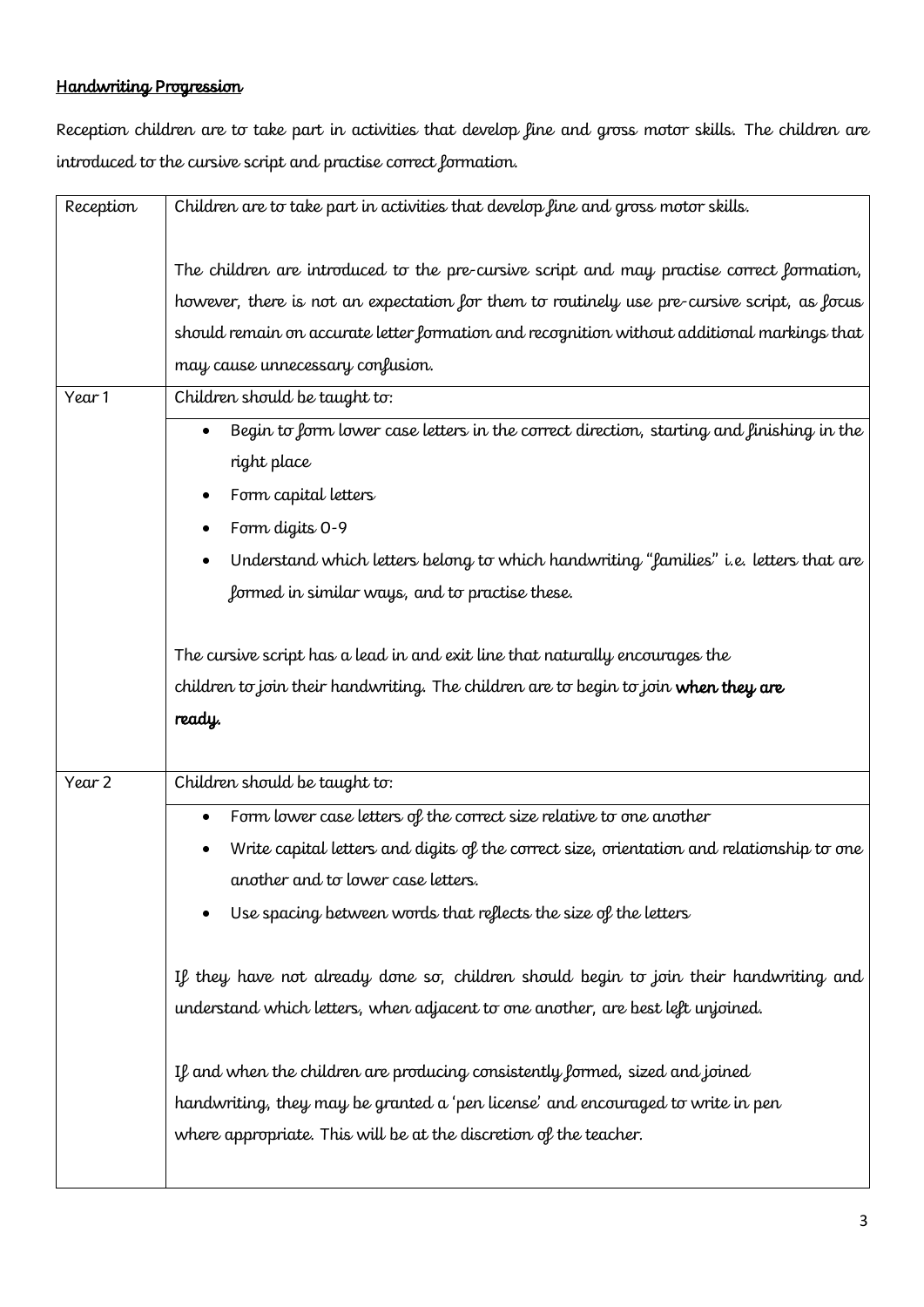# Handwriting Progression

Reception children are to take part in activities that develop fine and gross motor skills. The children are introduced to the cursive script and practise correct formation.

| Reception | Children are to take part in activities that develop fine and gross motor skills.           |
|-----------|---------------------------------------------------------------------------------------------|
|           |                                                                                             |
|           | The children are introduced to the pre-cursive script and may practise correct formation,   |
|           | however, there is not an expectation for them to routinely use pre-cursive script, as focus |
|           | should remain on accurate letter formation and recognition without additional markings that |
|           | may cause unnecessary confusion.                                                            |
| Year 1    | Children should be taught to:                                                               |
|           | Begin to form lower case letters in the correct direction, starting and finishing in the    |
|           | right place                                                                                 |
|           | Form capital letters                                                                        |
|           | Form digits 0-9                                                                             |
|           | Understand which letters belong to which handwriting "families" i.e. letters that are       |
|           | formed in similar ways, and to practise these.                                              |
|           |                                                                                             |
|           | The cursive script has a lead in and exit line that naturally encourages the                |
|           | children to join their handwriting. The children are to begin to join when they are         |
|           | ready.                                                                                      |
|           |                                                                                             |
| Year 2    | Children should be taught to:                                                               |
|           | Form lower case letters of the correct size relative to one another                         |
|           | Write capital letters and digits of the correct size, orientation and relationship to one   |
|           | another and to lower case letters.                                                          |
|           | Use spacing between words that reflects the size of the letters                             |
|           |                                                                                             |
|           | If they have not already done so, children should begin to join their handwriting and       |
|           | understand which letters, when adjacent to one another, are best left unjoined.             |
|           |                                                                                             |
|           | If and when the children are producing consistently formed, sized and joined                |
|           | handwriting, they may be granted a 'pen license' and encouraged to write in pen             |
|           | where appropriate. This will be at the discretion of the teacher.                           |
|           |                                                                                             |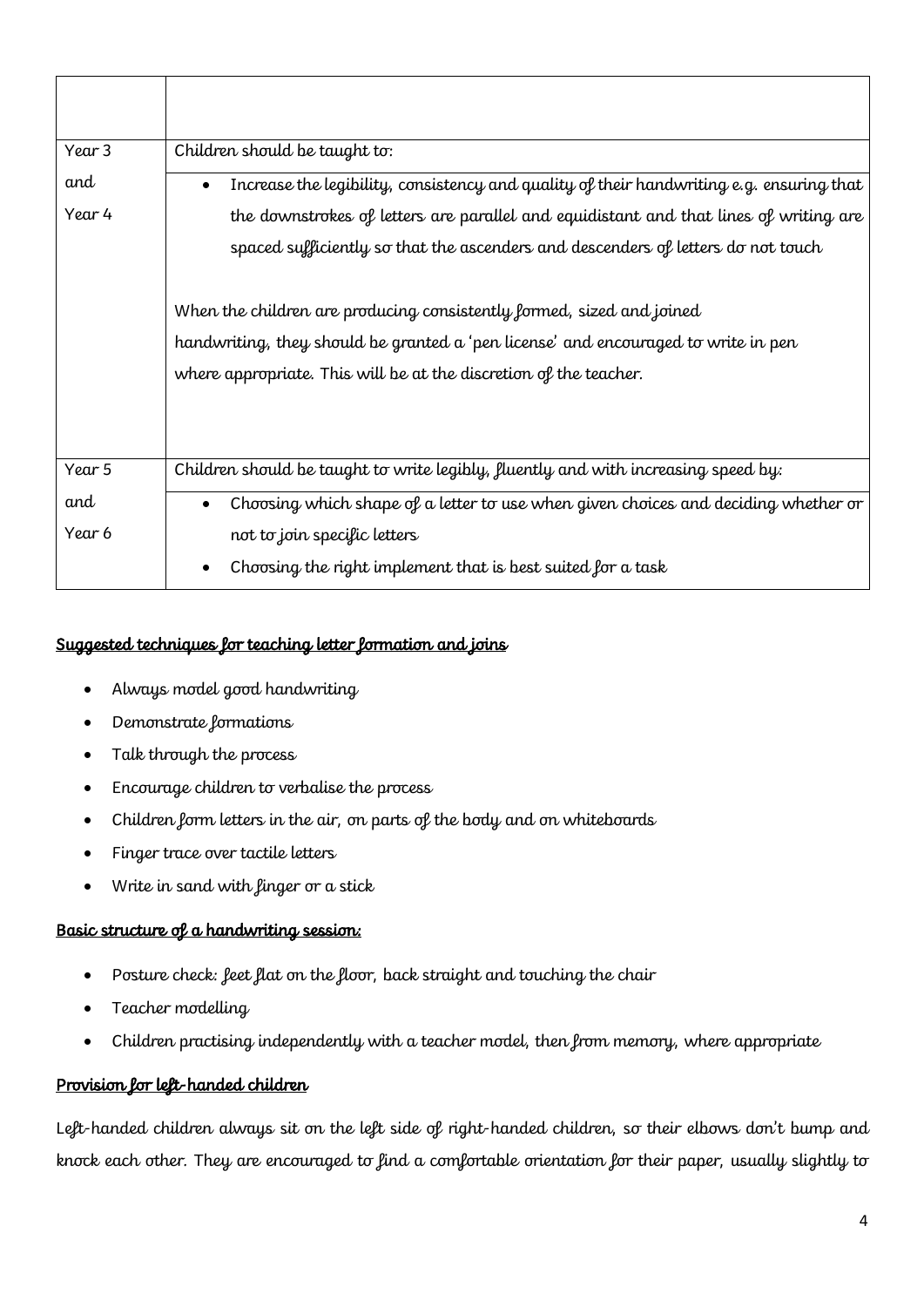| Year 3 | Children should be taught to:                                                            |
|--------|------------------------------------------------------------------------------------------|
| and    | Increase the legibility, consistency and quality of their handwriting e.g. ensuring that |
| Year 4 | the downstrokes of letters are parallel and equidistant and that lines of writing are    |
|        | spaced sufficiently so that the ascenders and descenders of letters do not touch         |
|        | When the children are producing consistently formed, sized and joined                    |
|        | handwriting, they should be granted a 'pen license' and encouraged to write in pen       |
|        | where appropriate. This will be at the discretion of the teacher.                        |
|        |                                                                                          |
|        |                                                                                          |
| Year 5 | Children should be taught to write legibly, fluently and with increasing speed by:       |
| and    | Choosing which shape of a letter to use when given choices and deciding whether or       |
| Year 6 | not to join specific letters                                                             |
|        | Choosing the right implement that is best suited for a task                              |

# Suggested techniques for teaching letter formation and joins

- Always model good handwriting
- Demonstrate formations
- Talk through the process
- Encourage children to verbalise the process
- Children form letters in the air, on parts of the body and on whiteboards
- Finger trace over tactile letters
- Write in sand with finger or a stick

# Basic structure of a handwriting session:

- Posture check: feet flat on the floor, back straight and touching the chair
- Teacher modelling
- Children practising independently with a teacher model, then from memory, where appropriate

# Provision for left-handed children

Left-handed children always sit on the left side of right-handed children, so their elbows don't bump and knock each other. They are encouraged to find a comfortable orientation for their paper, usually slightly to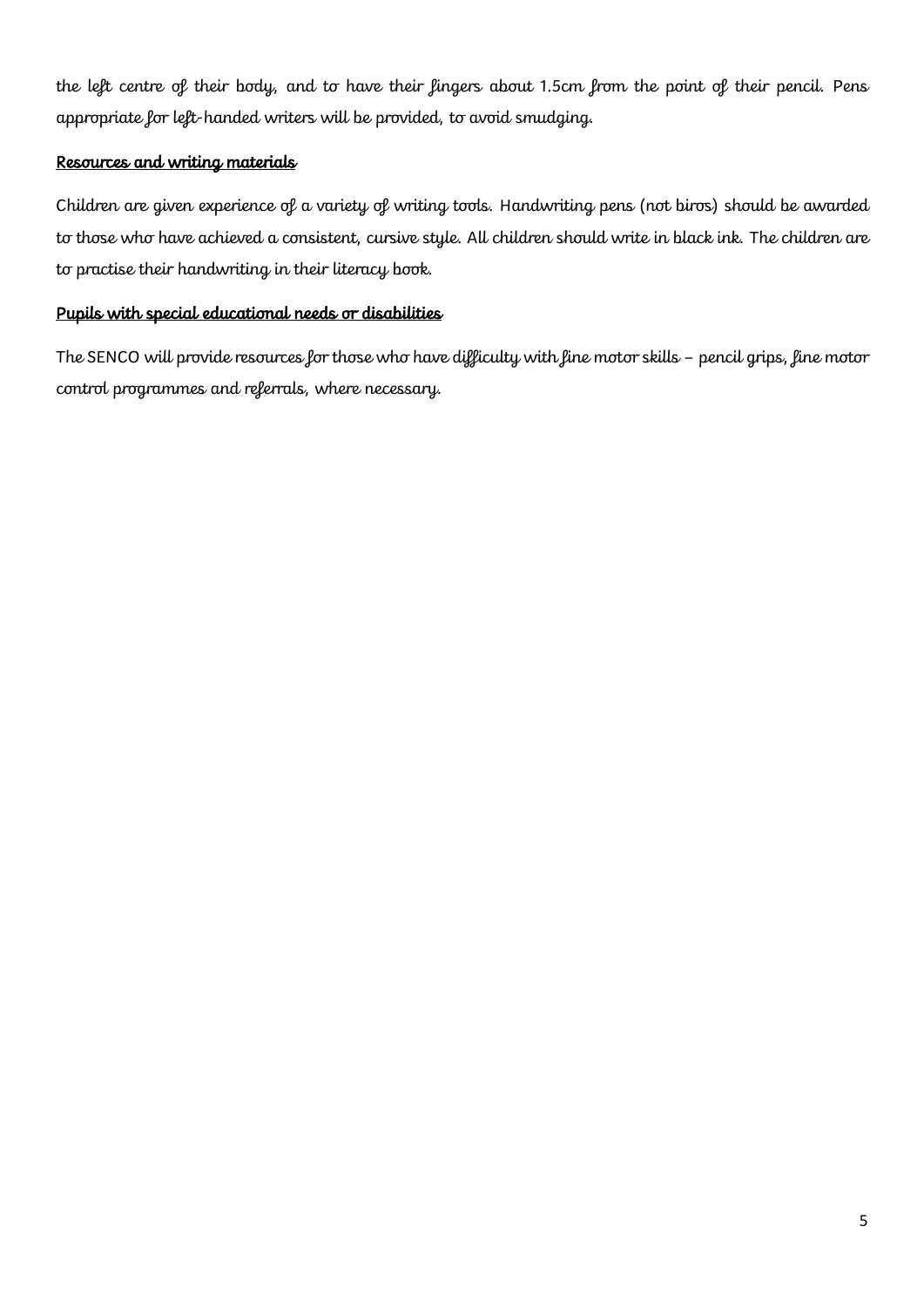the left centre of their body, and to have their fingers about 1.5cm from the point of their pencil. Pens appropriate for left-handed writers will be provided, to avoid smudging.

## Resources and writing materials

Children are given experience of a variety of writing tools. Handwriting pens (not biros) should be awarded to those who have achieved a consistent, cursive style. All children should write in black ink. The children are to practise their handwriting in their literacy book.

### Pupils with special educational needs or disabilities

The SENCO will provide resources for those who have difficulty with fine motor skills – pencil grips, fine motor control programmes and referrals, where necessary.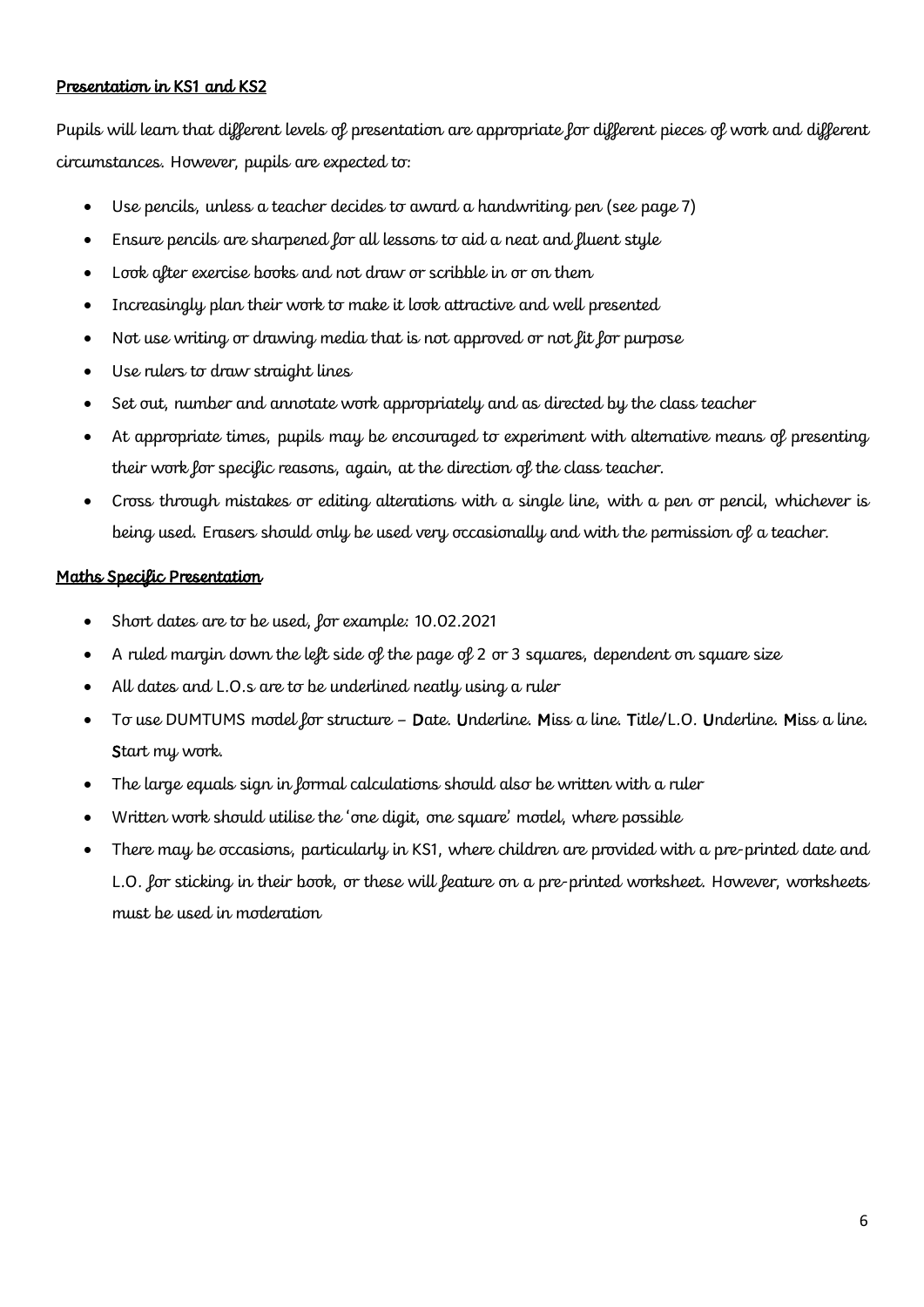## Presentation in KS1 and KS2

Pupils will learn that different levels of presentation are appropriate for different pieces of work and different circumstances. However, pupils are expected to:

- Use pencils, unless a teacher decides to award a handwriting pen (see page 7)
- Ensure pencils are sharpened for all lessons to aid a neat and fluent style
- Look after exercise books and not draw or scribble in or on them
- Increasingly plan their work to make it look attractive and well presented
- Not use writing or drawing media that is not approved or not lit lor purpose
- Use rulers to draw straight lines
- Set out, number and annotate work appropriately and as directed by the class teacher
- At appropriate times, pupils may be encouraged to experiment with alternative means of presenting their work for specific reasons, again, at the direction of the class teacher.
- Cross through mistakes or editing alterations with a single line, with a pen or pencil, whichever is being used. Erasers should only be used very occasionally and with the permission of a teacher.

### Maths Specific Presentation

- Short dates are to be used, for example: 10.02.2021
- A ruled margin down the left side of the page of 2 or 3 squares, dependent on square size
- All dates and L.O.s are to be underlined neatly using a ruler
- To use DUMTUMS model for structure Date. Underline. Miss a line. Title/L.O. Underline. Miss a line. Start my work.
- The large equals sign in formal calculations should also be written with a ruler
- Written work should utilise the 'one digit, one square' model, where possible
- There may be occasions, particularly in KS1, where children are provided with a pre-printed date and L.O. for sticking in their book, or these will feature on a pre-printed worksheet. However, worksheets must be used in moderation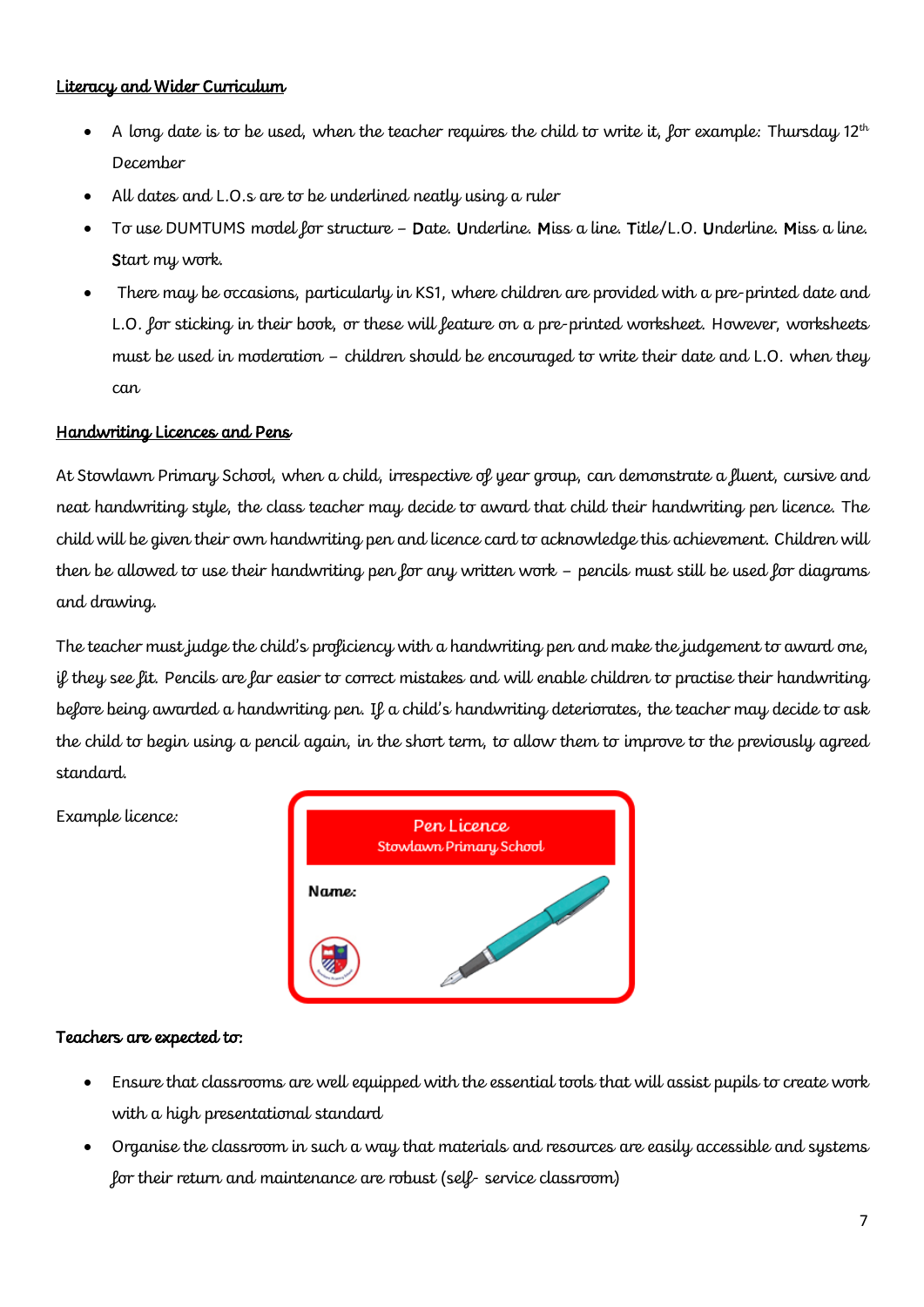## Literacy and Wider Curriculum

- A long date is to be used, when the teacher requires the child to write it, for example: Thursday  $12<sup>th</sup>$ December
- All dates and L.O.s are to be underlined neatly using a ruler
- To use DUMTUMS model for structure Date. Underline. Miss a line. Title/L.O. Underline. Miss a line. Start my work.
- There may be occasions, particularly in KS1, where children are provided with a pre-printed date and L.O. for sticking in their book, or these will feature on a pre-printed worksheet. However, worksheets must be used in moderation – children should be encouraged to write their date and L.O. when they can

### Handwriting Licences and Pens

At Stowlawn Primary School, when a child, irrespective of year group, can demonstrate a fluent, cursive and neat handwriting style, the class teacher may decide to award that child their handwriting pen licence. The child will be given their own handwriting pen and licence card to acknowledge this achievement. Children will then be allowed to use their handwriting pen for any written work - pencils must still be used for diagrams and drawing.

The teacher must judge the child's proficiency with a handwriting pen and make the judgement to award one, if they see fit. Pencils are far easier to correct mistakes and will enable children to practise their handwriting before being awarded a handwriting pen. If a child's handwriting deteriorates, the teacher may decide to ask the child to begin using a pencil again, in the short term, to allow them to improve to the previously agreed standard.



## Example licence:

#### Teachers are expected to:

- Ensure that classrooms are well equipped with the essential tools that will assist pupils to create work with a high presentational standard
- Organise the classroom in such a way that materials and resources are easily accessible and systems for their return and maintenance are robust (self- service classroom)